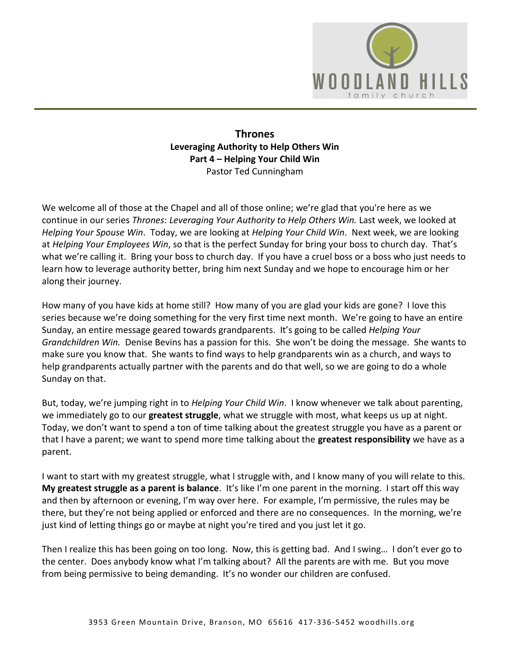

## **Thrones Leveraging Authority to Help Others Win Part 4 – Helping Your Child Win**  Pastor Ted Cunningham

We welcome all of those at the Chapel and all of those online; we're glad that you're here as we continue in our series *Thrones*: *Leveraging Your Authority to Help Others Win.* Last week, we looked at *Helping Your Spouse Win*. Today, we are looking at *Helping Your Child Win*. Next week, we are looking at *Helping Your Employees Win*, so that is the perfect Sunday for bring your boss to church day. That's what we're calling it. Bring your boss to church day. If you have a cruel boss or a boss who just needs to learn how to leverage authority better, bring him next Sunday and we hope to encourage him or her along their journey.

How many of you have kids at home still? How many of you are glad your kids are gone? I love this series because we're doing something for the very first time next month. We're going to have an entire Sunday, an entire message geared towards grandparents. It's going to be called *Helping Your Grandchildren Win.* Denise Bevins has a passion for this. She won't be doing the message. She wants to make sure you know that. She wants to find ways to help grandparents win as a church, and ways to help grandparents actually partner with the parents and do that well, so we are going to do a whole Sunday on that.

But, today, we're jumping right in to *Helping Your Child Win*. I know whenever we talk about parenting, we immediately go to our **greatest struggle**, what we struggle with most, what keeps us up at night. Today, we don't want to spend a ton of time talking about the greatest struggle you have as a parent or that I have a parent; we want to spend more time talking about the **greatest responsibility** we have as a parent.

I want to start with my greatest struggle, what I struggle with, and I know many of you will relate to this. **My greatest struggle as a parent is balance**. It's like I'm one parent in the morning. I start off this way and then by afternoon or evening, I'm way over here. For example, I'm permissive, the rules may be there, but they're not being applied or enforced and there are no consequences. In the morning, we're just kind of letting things go or maybe at night you're tired and you just let it go.

Then I realize this has been going on too long. Now, this is getting bad. And I swing… I don't ever go to the center. Does anybody know what I'm talking about? All the parents are with me. But you move from being permissive to being demanding. It's no wonder our children are confused.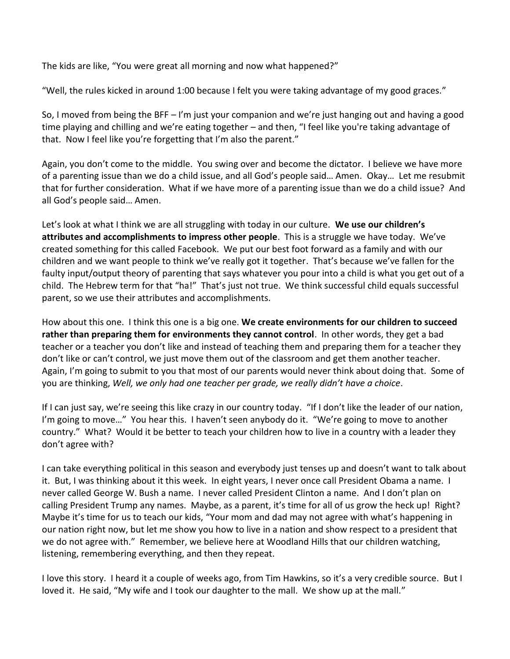The kids are like, "You were great all morning and now what happened?"

"Well, the rules kicked in around 1:00 because I felt you were taking advantage of my good graces."

So, I moved from being the BFF – I'm just your companion and we're just hanging out and having a good time playing and chilling and we're eating together – and then, "I feel like you're taking advantage of that. Now I feel like you're forgetting that I'm also the parent."

Again, you don't come to the middle. You swing over and become the dictator. I believe we have more of a parenting issue than we do a child issue, and all God's people said… Amen. Okay… Let me resubmit that for further consideration. What if we have more of a parenting issue than we do a child issue? And all God's people said… Amen.

Let's look at what I think we are all struggling with today in our culture. **We use our children's attributes and accomplishments to impress other people**. This is a struggle we have today. We've created something for this called Facebook. We put our best foot forward as a family and with our children and we want people to think we've really got it together. That's because we've fallen for the faulty input/output theory of parenting that says whatever you pour into a child is what you get out of a child. The Hebrew term for that "ha!" That's just not true. We think successful child equals successful parent, so we use their attributes and accomplishments.

How about this one. I think this one is a big one. **We create environments for our children to succeed rather than preparing them for environments they cannot control**. In other words, they get a bad teacher or a teacher you don't like and instead of teaching them and preparing them for a teacher they don't like or can't control, we just move them out of the classroom and get them another teacher. Again, I'm going to submit to you that most of our parents would never think about doing that. Some of you are thinking, *Well, we only had one teacher per grade, we really didn't have a choice*.

If I can just say, we're seeing this like crazy in our country today. "If I don't like the leader of our nation, I'm going to move…" You hear this. I haven't seen anybody do it. "We're going to move to another country." What? Would it be better to teach your children how to live in a country with a leader they don't agree with?

I can take everything political in this season and everybody just tenses up and doesn't want to talk about it. But, I was thinking about it this week. In eight years, I never once call President Obama a name. I never called George W. Bush a name. I never called President Clinton a name. And I don't plan on calling President Trump any names. Maybe, as a parent, it's time for all of us grow the heck up! Right? Maybe it's time for us to teach our kids, "Your mom and dad may not agree with what's happening in our nation right now, but let me show you how to live in a nation and show respect to a president that we do not agree with." Remember, we believe here at Woodland Hills that our children watching, listening, remembering everything, and then they repeat.

I love this story. I heard it a couple of weeks ago, from Tim Hawkins, so it's a very credible source. But I loved it. He said, "My wife and I took our daughter to the mall. We show up at the mall."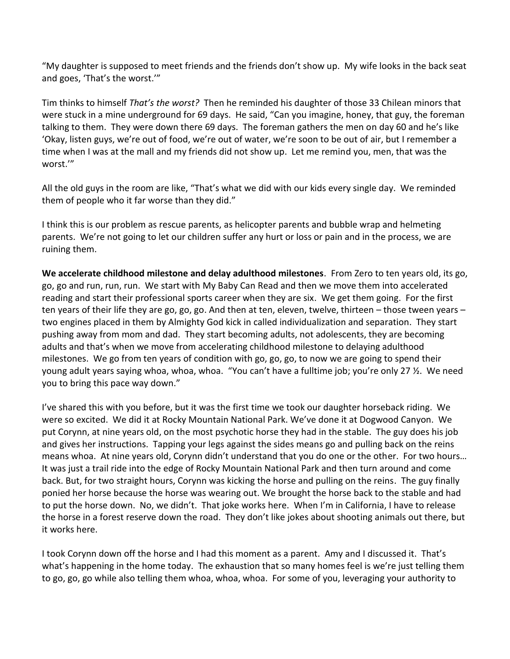"My daughter is supposed to meet friends and the friends don't show up. My wife looks in the back seat and goes, 'That's the worst.'"

Tim thinks to himself *That's the worst?* Then he reminded his daughter of those 33 Chilean minors that were stuck in a mine underground for 69 days. He said, "Can you imagine, honey, that guy, the foreman talking to them. They were down there 69 days. The foreman gathers the men on day 60 and he's like 'Okay, listen guys, we're out of food, we're out of water, we're soon to be out of air, but I remember a time when I was at the mall and my friends did not show up. Let me remind you, men, that was the worst.'"

All the old guys in the room are like, "That's what we did with our kids every single day. We reminded them of people who it far worse than they did."

I think this is our problem as rescue parents, as helicopter parents and bubble wrap and helmeting parents. We're not going to let our children suffer any hurt or loss or pain and in the process, we are ruining them.

**We accelerate childhood milestone and delay adulthood milestones**. From Zero to ten years old, its go, go, go and run, run, run. We start with My Baby Can Read and then we move them into accelerated reading and start their professional sports career when they are six. We get them going. For the first ten years of their life they are go, go, go. And then at ten, eleven, twelve, thirteen – those tween years – two engines placed in them by Almighty God kick in called individualization and separation. They start pushing away from mom and dad. They start becoming adults, not adolescents, they are becoming adults and that's when we move from accelerating childhood milestone to delaying adulthood milestones. We go from ten years of condition with go, go, go, to now we are going to spend their young adult years saying whoa, whoa, whoa. "You can't have a fulltime job; you're only 27 ½. We need you to bring this pace way down."

I've shared this with you before, but it was the first time we took our daughter horseback riding. We were so excited. We did it at Rocky Mountain National Park. We've done it at Dogwood Canyon. We put Corynn, at nine years old, on the most psychotic horse they had in the stable. The guy does his job and gives her instructions. Tapping your legs against the sides means go and pulling back on the reins means whoa. At nine years old, Corynn didn't understand that you do one or the other. For two hours… It was just a trail ride into the edge of Rocky Mountain National Park and then turn around and come back. But, for two straight hours, Corynn was kicking the horse and pulling on the reins. The guy finally ponied her horse because the horse was wearing out. We brought the horse back to the stable and had to put the horse down. No, we didn't. That joke works here. When I'm in California, I have to release the horse in a forest reserve down the road. They don't like jokes about shooting animals out there, but it works here.

I took Corynn down off the horse and I had this moment as a parent. Amy and I discussed it. That's what's happening in the home today. The exhaustion that so many homes feel is we're just telling them to go, go, go while also telling them whoa, whoa, whoa. For some of you, leveraging your authority to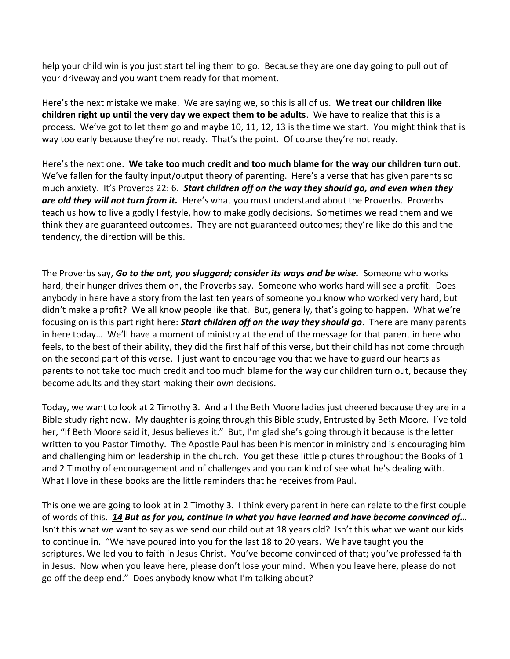help your child win is you just start telling them to go. Because they are one day going to pull out of your driveway and you want them ready for that moment.

Here's the next mistake we make. We are saying we, so this is all of us. **We treat our children like children right up until the very day we expect them to be adults**. We have to realize that this is a process. We've got to let them go and maybe 10, 11, 12, 13 is the time we start. You might think that is way too early because they're not ready. That's the point. Of course they're not ready.

Here's the next one. **We take too much credit and too much blame for the way our children turn out**. We've fallen for the faulty input/output theory of parenting. Here's a verse that has given parents so much anxiety. It's Proverbs 22: 6. *Start children off on the way they should go, and even when they are old they will not turn from it.* Here's what you must understand about the Proverbs. Proverbs teach us how to live a godly lifestyle, how to make godly decisions. Sometimes we read them and we think they are guaranteed outcomes. They are not guaranteed outcomes; they're like do this and the tendency, the direction will be this.

The Proverbs say, *Go to the ant, you sluggard; consider its ways and be wise.* Someone who works hard, their hunger drives them on, the Proverbs say. Someone who works hard will see a profit. Does anybody in here have a story from the last ten years of someone you know who worked very hard, but didn't make a profit? We all know people like that. But, generally, that's going to happen. What we're focusing on is this part right here: *Start children off on the way they should go*. There are many parents in here today… We'll have a moment of ministry at the end of the message for that parent in here who feels, to the best of their ability, they did the first half of this verse, but their child has not come through on the second part of this verse. I just want to encourage you that we have to guard our hearts as parents to not take too much credit and too much blame for the way our children turn out, because they become adults and they start making their own decisions.

Today, we want to look at 2 Timothy 3. And all the Beth Moore ladies just cheered because they are in a Bible study right now. My daughter is going through this Bible study, Entrusted by Beth Moore. I've told her, "If Beth Moore said it, Jesus believes it." But, I'm glad she's going through it because is the letter written to you Pastor Timothy. The Apostle Paul has been his mentor in ministry and is encouraging him and challenging him on leadership in the church. You get these little pictures throughout the Books of 1 and 2 Timothy of encouragement and of challenges and you can kind of see what he's dealing with. What I love in these books are the little reminders that he receives from Paul.

This one we are going to look at in 2 Timothy 3. I think every parent in here can relate to the first couple of words of this. *[14](http://www.studylight.org/desk/?q=2ti%203:14&t1=en_niv&sr=1) But as for you, continue in what you have learned and have become convinced of…* Isn't this what we want to say as we send our child out at 18 years old? Isn't this what we want our kids to continue in. "We have poured into you for the last 18 to 20 years. We have taught you the scriptures. We led you to faith in Jesus Christ. You've become convinced of that; you've professed faith in Jesus. Now when you leave here, please don't lose your mind. When you leave here, please do not go off the deep end." Does anybody know what I'm talking about?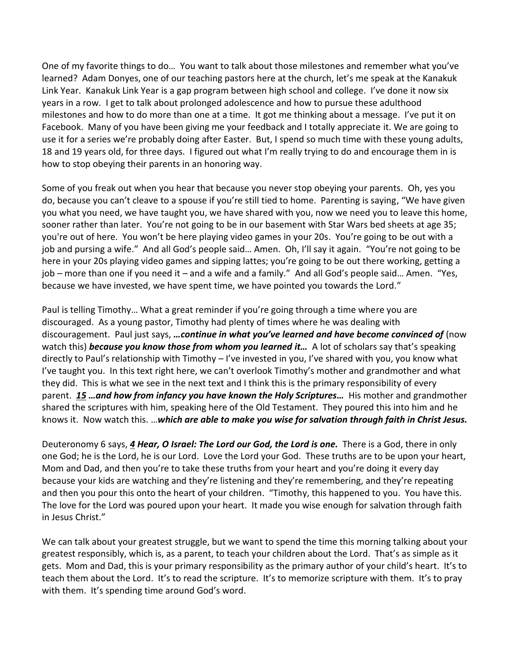One of my favorite things to do… You want to talk about those milestones and remember what you've learned? Adam Donyes, one of our teaching pastors here at the church, let's me speak at the Kanakuk Link Year. Kanakuk Link Year is a gap program between high school and college. I've done it now six years in a row. I get to talk about prolonged adolescence and how to pursue these adulthood milestones and how to do more than one at a time. It got me thinking about a message. I've put it on Facebook. Many of you have been giving me your feedback and I totally appreciate it. We are going to use it for a series we're probably doing after Easter. But, I spend so much time with these young adults, 18 and 19 years old, for three days. I figured out what I'm really trying to do and encourage them in is how to stop obeying their parents in an honoring way.

Some of you freak out when you hear that because you never stop obeying your parents. Oh, yes you do, because you can't cleave to a spouse if you're still tied to home. Parenting is saying, "We have given you what you need, we have taught you, we have shared with you, now we need you to leave this home, sooner rather than later. You're not going to be in our basement with Star Wars bed sheets at age 35; you're out of here. You won't be here playing video games in your 20s. You're going to be out with a job and pursing a wife." And all God's people said... Amen. Oh, I'll say it again. "You're not going to be here in your 20s playing video games and sipping lattes; you're going to be out there working, getting a job – more than one if you need it – and a wife and a family." And all God's people said… Amen. "Yes, because we have invested, we have spent time, we have pointed you towards the Lord."

Paul is telling Timothy… What a great reminder if you're going through a time where you are discouraged. As a young pastor, Timothy had plenty of times where he was dealing with discouragement. Paul just says, *…continue in what you've learned and have become convinced of* (now watch this) **because you know those from whom you learned** *it...* A lot of scholars say that's speaking directly to Paul's relationship with Timothy – I've invested in you, I've shared with you, you know what I've taught you. In this text right here, we can't overlook Timothy's mother and grandmother and what they did. This is what we see in the next text and I think this is the primary responsibility of every parent. *[15](http://www.studylight.org/desk/?q=2ti%203:15&t1=en_niv&sr=1) …and how from infancy you have known the Holy Scriptures…* His mother and grandmother shared the scriptures with him, speaking here of the Old Testament. They poured this into him and he knows it. Now watch this. …*which are able to make you wise for salvation through faith in Christ Jesus.*

Deuteronomy 6 says, *[4](http://www.studylight.org/desk/?q=de%206:4&t1=en_niv&sr=1) Hear, O Israel: The Lord our God, the Lord is one.* There is a God, there in only one God; he is the Lord, he is our Lord. Love the Lord your God. These truths are to be upon your heart, Mom and Dad, and then you're to take these truths from your heart and you're doing it every day because your kids are watching and they're listening and they're remembering, and they're repeating and then you pour this onto the heart of your children. "Timothy, this happened to you. You have this. The love for the Lord was poured upon your heart. It made you wise enough for salvation through faith in Jesus Christ."

We can talk about your greatest struggle, but we want to spend the time this morning talking about your greatest responsibly, which is, as a parent, to teach your children about the Lord. That's as simple as it gets. Mom and Dad, this is your primary responsibility as the primary author of your child's heart. It's to teach them about the Lord. It's to read the scripture. It's to memorize scripture with them. It's to pray with them. It's spending time around God's word.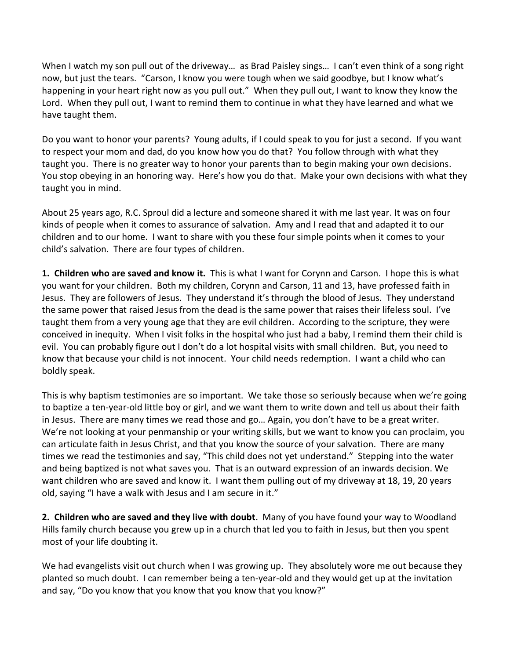When I watch my son pull out of the driveway… as Brad Paisley sings… I can't even think of a song right now, but just the tears. "Carson, I know you were tough when we said goodbye, but I know what's happening in your heart right now as you pull out." When they pull out, I want to know they know the Lord. When they pull out, I want to remind them to continue in what they have learned and what we have taught them.

Do you want to honor your parents? Young adults, if I could speak to you for just a second. If you want to respect your mom and dad, do you know how you do that? You follow through with what they taught you. There is no greater way to honor your parents than to begin making your own decisions. You stop obeying in an honoring way. Here's how you do that. Make your own decisions with what they taught you in mind.

About 25 years ago, R.C. Sproul did a lecture and someone shared it with me last year. It was on four kinds of people when it comes to assurance of salvation. Amy and I read that and adapted it to our children and to our home. I want to share with you these four simple points when it comes to your child's salvation. There are four types of children.

**1. Children who are saved and know it.** This is what I want for Corynn and Carson. I hope this is what you want for your children. Both my children, Corynn and Carson, 11 and 13, have professed faith in Jesus. They are followers of Jesus. They understand it's through the blood of Jesus. They understand the same power that raised Jesus from the dead is the same power that raises their lifeless soul. I've taught them from a very young age that they are evil children. According to the scripture, they were conceived in inequity. When I visit folks in the hospital who just had a baby, I remind them their child is evil. You can probably figure out I don't do a lot hospital visits with small children. But, you need to know that because your child is not innocent. Your child needs redemption. I want a child who can boldly speak.

This is why baptism testimonies are so important. We take those so seriously because when we're going to baptize a ten-year-old little boy or girl, and we want them to write down and tell us about their faith in Jesus. There are many times we read those and go… Again, you don't have to be a great writer. We're not looking at your penmanship or your writing skills, but we want to know you can proclaim, you can articulate faith in Jesus Christ, and that you know the source of your salvation. There are many times we read the testimonies and say, "This child does not yet understand." Stepping into the water and being baptized is not what saves you. That is an outward expression of an inwards decision. We want children who are saved and know it. I want them pulling out of my driveway at 18, 19, 20 years old, saying "I have a walk with Jesus and I am secure in it."

**2. Children who are saved and they live with doubt**. Many of you have found your way to Woodland Hills family church because you grew up in a church that led you to faith in Jesus, but then you spent most of your life doubting it.

We had evangelists visit out church when I was growing up. They absolutely wore me out because they planted so much doubt. I can remember being a ten-year-old and they would get up at the invitation and say, "Do you know that you know that you know that you know?"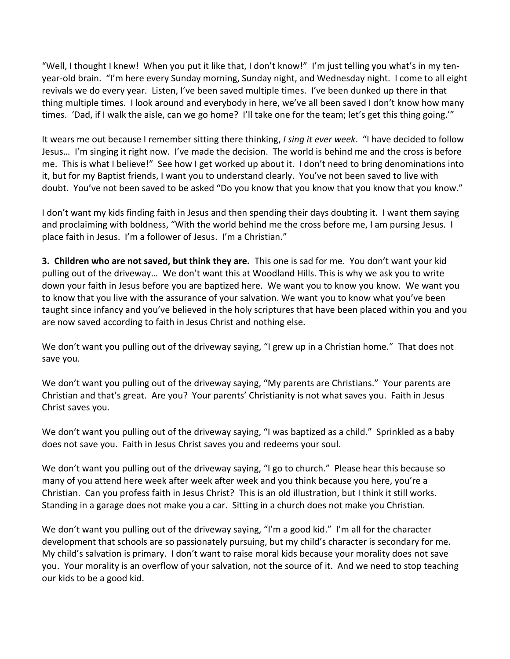"Well, I thought I knew! When you put it like that, I don't know!" I'm just telling you what's in my tenyear-old brain. "I'm here every Sunday morning, Sunday night, and Wednesday night. I come to all eight revivals we do every year. Listen, I've been saved multiple times. I've been dunked up there in that thing multiple times. I look around and everybody in here, we've all been saved I don't know how many times. 'Dad, if I walk the aisle, can we go home? I'll take one for the team; let's get this thing going.'"

It wears me out because I remember sitting there thinking, *I sing it ever week*. "I have decided to follow Jesus… I'm singing it right now. I've made the decision. The world is behind me and the cross is before me. This is what I believe!" See how I get worked up about it. I don't need to bring denominations into it, but for my Baptist friends, I want you to understand clearly. You've not been saved to live with doubt. You've not been saved to be asked "Do you know that you know that you know that you know."

I don't want my kids finding faith in Jesus and then spending their days doubting it. I want them saying and proclaiming with boldness, "With the world behind me the cross before me, I am pursing Jesus. I place faith in Jesus. I'm a follower of Jesus. I'm a Christian."

**3. Children who are not saved, but think they are.** This one is sad for me. You don't want your kid pulling out of the driveway… We don't want this at Woodland Hills. This is why we ask you to write down your faith in Jesus before you are baptized here. We want you to know you know. We want you to know that you live with the assurance of your salvation. We want you to know what you've been taught since infancy and you've believed in the holy scriptures that have been placed within you and you are now saved according to faith in Jesus Christ and nothing else.

We don't want you pulling out of the driveway saying, "I grew up in a Christian home." That does not save you.

We don't want you pulling out of the driveway saying, "My parents are Christians." Your parents are Christian and that's great. Are you? Your parents' Christianity is not what saves you. Faith in Jesus Christ saves you.

We don't want you pulling out of the driveway saying, "I was baptized as a child." Sprinkled as a baby does not save you. Faith in Jesus Christ saves you and redeems your soul.

We don't want you pulling out of the driveway saying, "I go to church." Please hear this because so many of you attend here week after week after week and you think because you here, you're a Christian. Can you profess faith in Jesus Christ? This is an old illustration, but I think it still works. Standing in a garage does not make you a car. Sitting in a church does not make you Christian.

We don't want you pulling out of the driveway saying, "I'm a good kid." I'm all for the character development that schools are so passionately pursuing, but my child's character is secondary for me. My child's salvation is primary. I don't want to raise moral kids because your morality does not save you. Your morality is an overflow of your salvation, not the source of it. And we need to stop teaching our kids to be a good kid.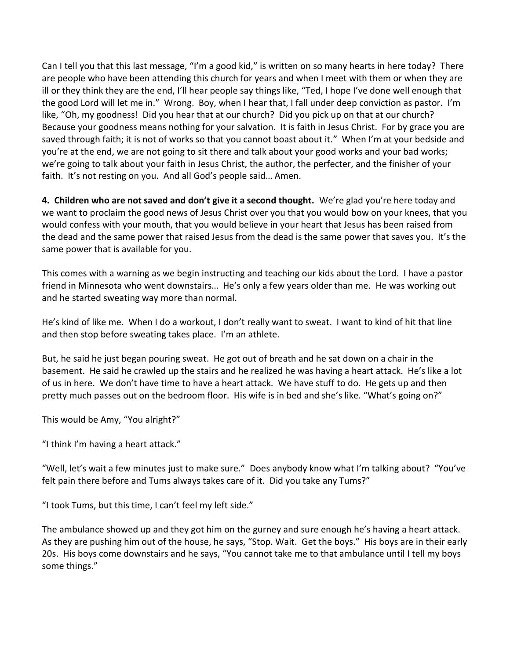Can I tell you that this last message, "I'm a good kid," is written on so many hearts in here today? There are people who have been attending this church for years and when I meet with them or when they are ill or they think they are the end, I'll hear people say things like, "Ted, I hope I've done well enough that the good Lord will let me in." Wrong. Boy, when I hear that, I fall under deep conviction as pastor. I'm like, "Oh, my goodness! Did you hear that at our church? Did you pick up on that at our church? Because your goodness means nothing for your salvation. It is faith in Jesus Christ. For by grace you are saved through faith; it is not of works so that you cannot boast about it." When I'm at your bedside and you're at the end, we are not going to sit there and talk about your good works and your bad works; we're going to talk about your faith in Jesus Christ, the author, the perfecter, and the finisher of your faith. It's not resting on you. And all God's people said… Amen.

**4. Children who are not saved and don't give it a second thought.** We're glad you're here today and we want to proclaim the good news of Jesus Christ over you that you would bow on your knees, that you would confess with your mouth, that you would believe in your heart that Jesus has been raised from the dead and the same power that raised Jesus from the dead is the same power that saves you. It's the same power that is available for you.

This comes with a warning as we begin instructing and teaching our kids about the Lord. I have a pastor friend in Minnesota who went downstairs… He's only a few years older than me. He was working out and he started sweating way more than normal.

He's kind of like me. When I do a workout, I don't really want to sweat. I want to kind of hit that line and then stop before sweating takes place. I'm an athlete.

But, he said he just began pouring sweat. He got out of breath and he sat down on a chair in the basement. He said he crawled up the stairs and he realized he was having a heart attack. He's like a lot of us in here. We don't have time to have a heart attack. We have stuff to do. He gets up and then pretty much passes out on the bedroom floor. His wife is in bed and she's like. "What's going on?"

This would be Amy, "You alright?"

"I think I'm having a heart attack."

"Well, let's wait a few minutes just to make sure." Does anybody know what I'm talking about? "You've felt pain there before and Tums always takes care of it. Did you take any Tums?"

"I took Tums, but this time, I can't feel my left side."

The ambulance showed up and they got him on the gurney and sure enough he's having a heart attack. As they are pushing him out of the house, he says, "Stop. Wait. Get the boys." His boys are in their early 20s. His boys come downstairs and he says, "You cannot take me to that ambulance until I tell my boys some things."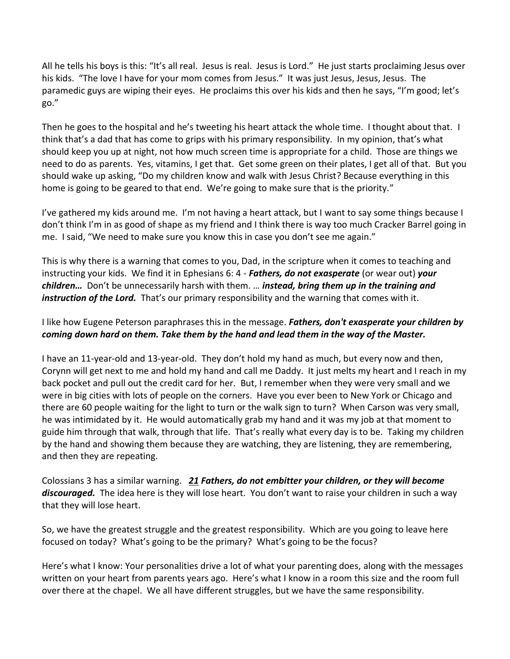All he tells his boys is this: "It's all real. Jesus is real. Jesus is Lord." He just starts proclaiming Jesus over his kids. "The love I have for your mom comes from Jesus." It was just Jesus, Jesus, Jesus. The paramedic guys are wiping their eyes. He proclaims this over his kids and then he says, "I'm good; let's go."

Then he goes to the hospital and he's tweeting his heart attack the whole time. I thought about that. I think that's a dad that has come to grips with his primary responsibility. In my opinion, that's what should keep you up at night, not how much screen time is appropriate for a child. Those are things we need to do as parents. Yes, vitamins, I get that. Get some green on their plates, I get all of that. But you should wake up asking, "Do my children know and walk with Jesus Christ? Because everything in this home is going to be geared to that end. We're going to make sure that is the priority."

I've gathered my kids around me. I'm not having a heart attack, but I want to say some things because I don't think I'm in as good of shape as my friend and I think there is way too much Cracker Barrel going in me. I said, "We need to make sure you know this in case you don't see me again."

This is why there is a warning that comes to you, Dad, in the scripture when it comes to teaching and instructing your kids. We find it in Ephesians 6: 4 - *Fathers, do not exasperate* (or wear out) *your children…* Don't be unnecessarily harsh with them. … *instead, bring them up in the training and instruction of the Lord.* That's our primary responsibility and the warning that comes with it.

I like how Eugene Peterson paraphrases this in the message. *Fathers, don't exasperate your children by coming down hard on them. Take them by the hand and lead them in the way of the Master.* 

I have an 11-year-old and 13-year-old. They don't hold my hand as much, but every now and then, Corynn will get next to me and hold my hand and call me Daddy. It just melts my heart and I reach in my back pocket and pull out the credit card for her. But, I remember when they were very small and we were in big cities with lots of people on the corners. Have you ever been to New York or Chicago and there are 60 people waiting for the light to turn or the walk sign to turn? When Carson was very small, he was intimidated by it. He would automatically grab my hand and it was my job at that moment to guide him through that walk, through that life. That's really what every day is to be. Taking my children by the hand and showing them because they are watching, they are listening, they are remembering, and then they are repeating.

Colossians 3 has a similar warning. *[21](http://www.studylight.org/desk/?q=col%203:21&t1=en_niv&sr=1) Fathers, do not embitter your children, or they will become discouraged.* The idea here is they will lose heart. You don't want to raise your children in such a way that they will lose heart.

So, we have the greatest struggle and the greatest responsibility. Which are you going to leave here focused on today? What's going to be the primary? What's going to be the focus?

Here's what I know: Your personalities drive a lot of what your parenting does, along with the messages written on your heart from parents years ago. Here's what I know in a room this size and the room full over there at the chapel. We all have different struggles, but we have the same responsibility.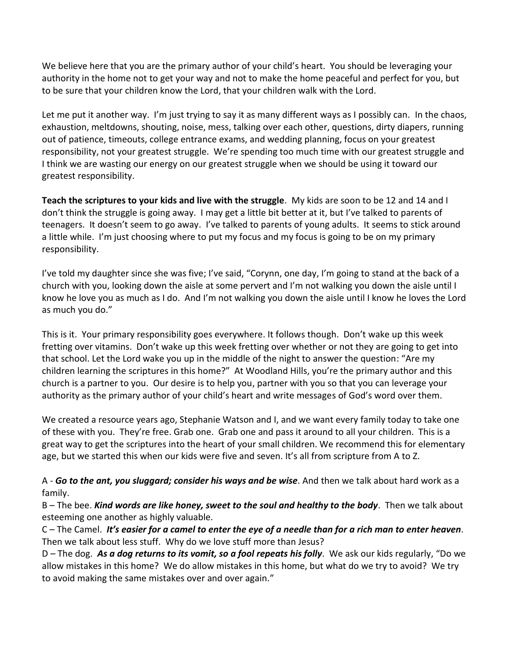We believe here that you are the primary author of your child's heart. You should be leveraging your authority in the home not to get your way and not to make the home peaceful and perfect for you, but to be sure that your children know the Lord, that your children walk with the Lord.

Let me put it another way. I'm just trying to say it as many different ways as I possibly can. In the chaos, exhaustion, meltdowns, shouting, noise, mess, talking over each other, questions, dirty diapers, running out of patience, timeouts, college entrance exams, and wedding planning, focus on your greatest responsibility, not your greatest struggle. We're spending too much time with our greatest struggle and I think we are wasting our energy on our greatest struggle when we should be using it toward our greatest responsibility.

**Teach the scriptures to your kids and live with the struggle**. My kids are soon to be 12 and 14 and I don't think the struggle is going away. I may get a little bit better at it, but I've talked to parents of teenagers. It doesn't seem to go away. I've talked to parents of young adults. It seems to stick around a little while. I'm just choosing where to put my focus and my focus is going to be on my primary responsibility.

I've told my daughter since she was five; I've said, "Corynn, one day, I'm going to stand at the back of a church with you, looking down the aisle at some pervert and I'm not walking you down the aisle until I know he love you as much as I do. And I'm not walking you down the aisle until I know he loves the Lord as much you do."

This is it. Your primary responsibility goes everywhere. It follows though. Don't wake up this week fretting over vitamins. Don't wake up this week fretting over whether or not they are going to get into that school. Let the Lord wake you up in the middle of the night to answer the question: "Are my children learning the scriptures in this home?" At Woodland Hills, you're the primary author and this church is a partner to you. Our desire is to help you, partner with you so that you can leverage your authority as the primary author of your child's heart and write messages of God's word over them.

We created a resource years ago, Stephanie Watson and I, and we want every family today to take one of these with you. They're free. Grab one. Grab one and pass it around to all your children. This is a great way to get the scriptures into the heart of your small children. We recommend this for elementary age, but we started this when our kids were five and seven. It's all from scripture from A to Z.

A - *Go to the ant, you sluggard; consider his ways and be wise*. And then we talk about hard work as a family.

B – The bee. *Kind words are like honey, sweet to the soul and healthy to the body*. Then we talk about esteeming one another as highly valuable.

C – The Camel. *It's easier for a camel to enter the eye of a needle than for a rich man to enter heaven*. Then we talk about less stuff. Why do we love stuff more than Jesus?

D – The dog. *As a dog returns to its vomit, so a fool repeats his folly*. We ask our kids regularly, "Do we allow mistakes in this home? We do allow mistakes in this home, but what do we try to avoid? We try to avoid making the same mistakes over and over again."